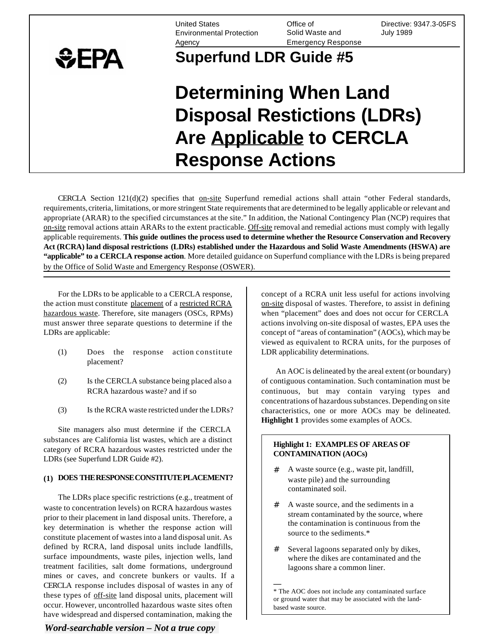Environmental Protection Solid Waste and July 1989 Agency Emergency Response

United States Office of Directive: 9347.3-05FS

## **Superfund LDR Guide #5**

# **Determining When Land Disposal Restictions (LDRs) Are Applicable to CERCLA Response Actions**

CERCLA Section  $121(d)(2)$  specifies that on-site Superfund remedial actions shall attain "other Federal standards, requirements, criteria, limitations, or more stringent State requirements that are determined to be legally applicable or relevant and appropriate (ARAR) to the specified circumstances at the site." In addition, the National Contingency Plan (NCP) requires that on-site removal actions attain ARARs to the extent practicable. Off-site removal and remedial actions must comply with legally applicable requirements. **This guide outlines the process used to determine whether the Resource Conservation and Recovery Act (RCRA) land disposal restrictions (LDRs) established under the Hazardous and Solid Waste Amendments (HSWA) are "applicable" to a CERCLA response action**. More detailed guidance on Superfund compliance with the LDRs is being prepared by the Office of Solid Waste and Emergency Response (OSWER).

For the LDRs to be applicable to a CERCLA response, the action must constitute placement of a restricted RCRA hazardous waste. Therefore, site managers (OSCs, RPMs) must answer three separate questions to determine if the LDRs are applicable:

 $EPA$ 

- (1) Does the response action constitute placement?
- (2) Is the CERCLA substance being placed also a RCRA hazardous waste? and if so
- (3) Is the RCRA waste restricted under the LDRs?

Site managers also must determine if the CERCLA substances are California list wastes, which are a distinct category of RCRA hazardous wastes restricted under the LDRs (see Superfund LDR Guide #2).

#### **(1) DOES THE RESPONSE CONSTITUTE PLACEMENT?**

The LDRs place specific restrictions (e.g., treatment of waste to concentration levels) on RCRA hazardous wastes prior to their placement in land disposal units. Therefore, a key determination is whether the response action will constitute placement of wastes into a land disposal unit. As defined by RCRA, land disposal units include landfills, surface impoundments, waste piles, injection wells, land treatment facilities, salt dome formations, underground mines or caves, and concrete bunkers or vaults. If a CERCLA response includes disposal of wastes in any of these types of off-site land disposal units, placement will occur. However, uncontrolled hazardous waste sites often have widespread and dispersed contamination, making the

### *Word-searchable version – Not a true copy*

concept of a RCRA unit less useful for actions involving on-site disposal of wastes. Therefore, to assist in defining when "placement" does and does not occur for CERCLA actions involving on-site disposal of wastes, EPA uses the concept of "areas of contamination" (AOCs), which may be viewed as equivalent to RCRA units, for the purposes of LDR applicability determinations.

An AOC is delineated by the areal extent (or boundary) of contiguous contamination. Such contamination must be continuous, but may contain varying types and concentrations of hazardous substances. Depending on site characteristics, one or more AOCs may be delineated. **Highlight 1** provides some examples of AOCs.

#### **Highlight 1: EXAMPLES OF AREAS OF CONTAMINATION (AOCs)**

- # A waste source (e.g., waste pit, landfill, waste pile) and the surrounding contaminated soil.
- # A waste source, and the sediments in a stream contaminated by the source, where the contamination is continuous from the source to the sediments.\*
- # Several lagoons separated only by dikes, where the dikes are contaminated and the lagoons share a common liner.

**—**  \* The AOC does not include any contaminated surface or ground water that may be associated with the landbased waste source.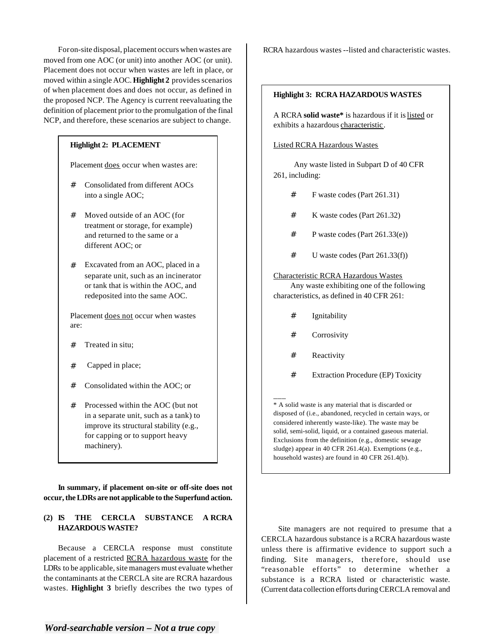For on-site disposal, placement occurs when wastes are moved from one AOC (or unit) into another AOC (or unit). Placement does not occur when wastes are left in place, or moved within a single AOC. **Highlight 2** provides scenarios of when placement does and does not occur, as defined in the proposed NCP. The Agency is current reevaluating the definition of placement prior to the promulgation of the final NCP, and therefore, these scenarios are subject to change.

#### **Highlight 2: PLACEMENT**

Placement does occur when wastes are:

- # Consolidated from different AOCs into a single AOC;
- # Moved outside of an AOC (for treatment or storage, for example) and returned to the same or a different AOC; or
- # Excavated from an AOC, placed in a separate unit, such as an incinerator or tank that is within the AOC, and redeposited into the same AOC.

Placement does not occur when wastes are:

- # Treated in situ;
- # Capped in place;
- # Consolidated within the AOC; or
- # Processed within the AOC (but not in a separate unit, such as a tank) to improve its structural stability (e.g., for capping or to support heavy machinery).

**In summary, if placement on-site or off-site does not occur, the LDRs are not applicable to the Superfund action.** 

#### **(2) IS THE CERCLA SUBSTANCE A RCRA HAZARDOUS WASTE?**

Because a CERCLA response must constitute placement of a restricted RCRA hazardous waste for the LDRs to be applicable, site managers must evaluate whether the contaminants at the CERCLA site are RCRA hazardous wastes. **Highlight 3** briefly describes the two types of RCRA hazardous wastes --listed and characteristic wastes.

#### **Highlight 3: RCRA HAZARDOUS WASTES**

A RCRA **solid waste\*** is hazardous if it is listed or exhibits a hazardous characteristic.

#### Listed RCRA Hazardous Wastes

Any waste listed in Subpart D of 40 CFR 261, including:

- # F waste codes (Part 261.31)
- # K waste codes (Part 261.32)
- $\#$  P waste codes (Part 261.33(e))
- # U waste codes (Part 261.33(f))

#### Characteristic RCRA Hazardous Wastes

Any waste exhibiting one of the following characteristics, as defined in 40 CFR 261:

- # Ignitability
- # Corrosivity
- # Reactivity

\_\_\_

# Extraction Procedure (EP) Toxicity

\* A solid waste is any material that is discarded or disposed of (i.e., abandoned, recycled in certain ways, or considered inherently waste-like). The waste may be solid, semi-solid, liquid, or a contained gaseous material. Exclusions from the definition (e.g., domestic sewage sludge) appear in 40 CFR 261.4(a). Exemptions (e.g., household wastes) are found in 40 CFR 261.4(b).

Site managers are not required to presume that a CERCLA hazardous substance is a RCRA hazardous waste unless there is affirmative evidence to support such a finding. Site managers, therefore, should use "reasonable efforts" to determine whether a substance is a RCRA listed or characteristic waste. (Current data collection efforts during CERCLA removal and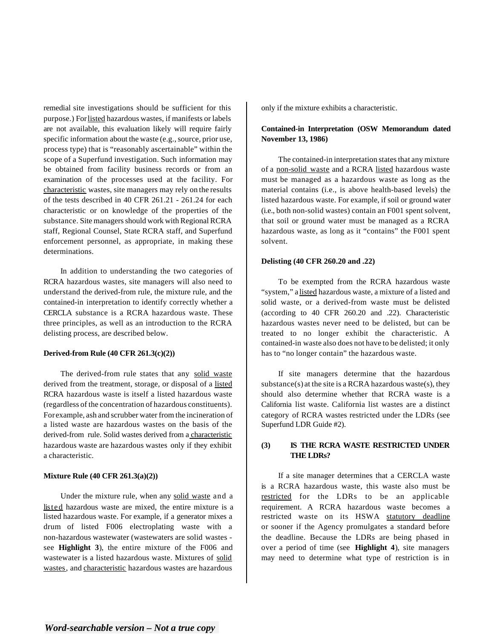remedial site investigations should be sufficient for this purpose.) For listed hazardous wastes, if manifests or labels are not available, this evaluation likely will require fairly specific information about the waste (e.g., source, prior use, process type) that is "reasonably ascertainable" within the scope of a Superfund investigation. Such information may be obtained from facility business records or from an examination of the processes used at the facility. For characteristic wastes, site managers may rely on the results of the tests described in 40 CFR 261.21 - 261.24 for each characteristic or on knowledge of the properties of the substance. Site managers should work with Regional RCRA staff, Regional Counsel, State RCRA staff, and Superfund enforcement personnel, as appropriate, in making these determinations.

In addition to understanding the two categories of RCRA hazardous wastes, site managers will also need to understand the derived-from rule, the mixture rule, and the contained-in interpretation to identify correctly whether a CERCLA substance is a RCRA hazardous waste. These three principles, as well as an introduction to the RCRA delisting process, are described below.

#### **Derived-from Rule (40 CFR 261.3(c)(2))**

The derived-from rule states that any solid waste derived from the treatment, storage, or disposal of a listed RCRA hazardous waste is itself a listed hazardous waste (regardless of the concentration of hazardous constituents). For example, ash and scrubber water from the incineration of a listed waste are hazardous wastes on the basis of the derived-from rule. Solid wastes derived from a characteristic hazardous waste are hazardous wastes only if they exhibit a characteristic.

#### **Mixture Rule (40 CFR 261.3(a)(2))**

Under the mixture rule, when any solid waste and a listed hazardous waste are mixed, the entire mixture is a listed hazardous waste. For example, if a generator mixes a drum of listed F006 electroplating waste with a non-hazardous wastewater (wastewaters are solid wastes see **Highlight 3**), the entire mixture of the F006 and wastewater is a listed hazardous waste. Mixtures of solid wastes, and characteristic hazardous wastes are hazardous

only if the mixture exhibits a characteristic.

#### **Contained-in Interpretation (OSW Memorandum dated November 13, 1986)**

The contained-in interpretation states that any mixture of a non-solid waste and a RCRA listed hazardous waste must be managed as a hazardous waste as long as the material contains (i.e., is above health-based levels) the listed hazardous waste. For example, if soil or ground water (i.e., both non-solid wastes) contain an F001 spent solvent, that soil or ground water must be managed as a RCRA hazardous waste, as long as it "contains" the F001 spent solvent.

#### **Delisting (40 CFR 260.20 and .22)**

To be exempted from the RCRA hazardous waste "system," a listed hazardous waste, a mixture of a listed and solid waste, or a derived-from waste must be delisted (according to 40 CFR 260.20 and .22). Characteristic hazardous wastes never need to be delisted, but can be treated to no longer exhibit the characteristic. A contained-in waste also does not have to be delisted; it only has to "no longer contain" the hazardous waste.

If site managers determine that the hazardous substance(s) at the site is a RCRA hazardous waste(s), they should also determine whether that RCRA waste is a California list waste. California list wastes are a distinct category of RCRA wastes restricted under the LDRs (see Superfund LDR Guide #2).

#### **(3) IS THE RCRA WASTE RESTRICTED UNDER THE LDRs?**

If a site manager determines that a CERCLA waste is a RCRA hazardous waste, this waste also must be restricted for the LDRs to be an applicable requirement. A RCRA hazardous waste becomes a restricted waste on its HSWA statutory deadline or sooner if the Agency promulgates a standard before the deadline. Because the LDRs are being phased in over a period of time (see **Highlight 4**), site managers may need to determine what type of restriction is in